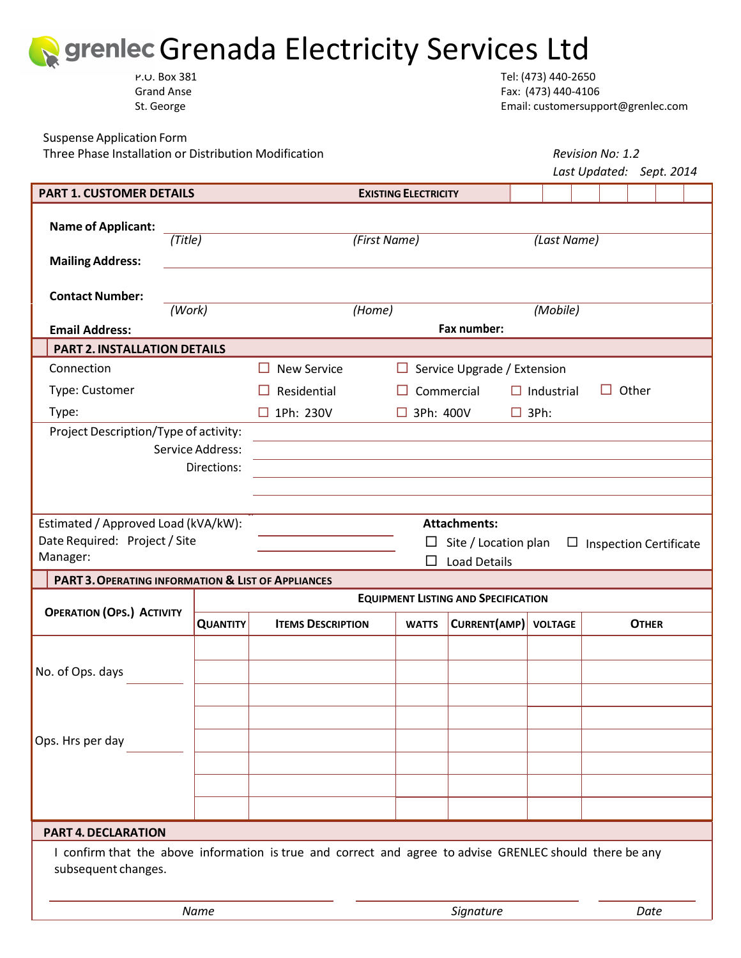

P.O. Box 381 Tel: (473) 440‐2650 Grand Anse Fax: (473) 440-4106 St. George **Email:** customersupport@grenlec.com

Suspense Application Form

Three Phase Installation or Distribution Modification *Revision No: 1.2*

|                                                               |                 |                                                                                                          |                             |                                    |                |  | Last Updated: Sept. 2014 |  |
|---------------------------------------------------------------|-----------------|----------------------------------------------------------------------------------------------------------|-----------------------------|------------------------------------|----------------|--|--------------------------|--|
| <b>PART 1. CUSTOMER DETAILS</b>                               |                 |                                                                                                          | <b>EXISTING ELECTRICITY</b> |                                    |                |  |                          |  |
| <b>Name of Applicant:</b>                                     | (Title)         |                                                                                                          | (First Name)                |                                    | (Last Name)    |  |                          |  |
| <b>Mailing Address:</b>                                       |                 |                                                                                                          |                             |                                    |                |  |                          |  |
| <b>Contact Number:</b>                                        | (Work)          |                                                                                                          | (Home)                      |                                    | (Mobile)       |  |                          |  |
| <b>Email Address:</b>                                         |                 | Fax number:                                                                                              |                             |                                    |                |  |                          |  |
| <b>PART 2. INSTALLATION DETAILS</b>                           |                 |                                                                                                          |                             |                                    |                |  |                          |  |
| Connection                                                    |                 | <b>New Service</b><br>H                                                                                  |                             | $\Box$ Service Upgrade / Extension |                |  |                          |  |
| Type: Customer                                                |                 | Residential<br>Commercial<br>$\Box$ Industrial<br>Other<br>H                                             |                             |                                    |                |  |                          |  |
| Type:                                                         |                 | 1Ph: 230V<br>ш                                                                                           | $\Box$ 3Ph: 400V            |                                    | $\Box$ 3Ph:    |  |                          |  |
| Project Description/Type of activity:                         |                 |                                                                                                          |                             |                                    |                |  |                          |  |
| Service Address:                                              |                 |                                                                                                          |                             |                                    |                |  |                          |  |
|                                                               | Directions:     |                                                                                                          |                             |                                    |                |  |                          |  |
|                                                               |                 |                                                                                                          |                             |                                    |                |  |                          |  |
| Estimated / Approved Load (kVA/kW):                           |                 |                                                                                                          |                             | <b>Attachments:</b>                |                |  |                          |  |
| Date Required: Project / Site                                 |                 | Site / Location plan<br>ப<br><b>Inspection Certificate</b><br>$\Box$                                     |                             |                                    |                |  |                          |  |
| Manager:                                                      |                 | <b>Load Details</b>                                                                                      |                             |                                    |                |  |                          |  |
| <b>PART 3. OPERATING INFORMATION &amp; LIST OF APPLIANCES</b> |                 |                                                                                                          |                             |                                    |                |  |                          |  |
| <b>OPERATION (OPS.) ACTIVITY</b>                              |                 | <b>EQUIPMENT LISTING AND SPECIFICATION</b>                                                               |                             |                                    |                |  |                          |  |
|                                                               | <b>QUANTITY</b> | <b>ITEMS DESCRIPTION</b>                                                                                 | <b>WATTS</b>                | CURRENT(AMP)                       | <b>VOLTAGE</b> |  | <b>OTHER</b>             |  |
|                                                               |                 |                                                                                                          |                             |                                    |                |  |                          |  |
| No. of Ops. days                                              |                 |                                                                                                          |                             |                                    |                |  |                          |  |
|                                                               |                 |                                                                                                          |                             |                                    |                |  |                          |  |
|                                                               |                 |                                                                                                          |                             |                                    |                |  |                          |  |
| Ops. Hrs per day                                              |                 |                                                                                                          |                             |                                    |                |  |                          |  |
|                                                               |                 |                                                                                                          |                             |                                    |                |  |                          |  |
|                                                               |                 |                                                                                                          |                             |                                    |                |  |                          |  |
|                                                               |                 |                                                                                                          |                             |                                    |                |  |                          |  |
| <b>PART 4. DECLARATION</b>                                    |                 |                                                                                                          |                             |                                    |                |  |                          |  |
| subsequent changes.                                           |                 | I confirm that the above information is true and correct and agree to advise GRENLEC should there be any |                             |                                    |                |  |                          |  |
| Name                                                          |                 |                                                                                                          | Signature                   |                                    |                |  | Date                     |  |